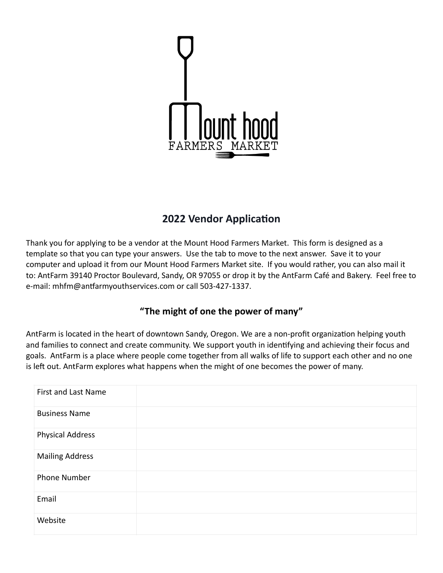

# **2022 Vendor Application**

Thank you for applying to be a vendor at the Mount Hood Farmers Market. This form is designed as a template so that you can type your answers. Use the tab to move to the next answer. Save it to your computer and upload it from our Mount Hood Farmers Market site. If you would rather, you can also mail it to: AntFarm 39140 Proctor Boulevard, Sandy, OR 97055 or drop it by the AntFarm Café and Bakery. Feel free to e-mail: [mhfm@antfarmyouthservices.com](mailto:mhfm@antfarmyouthservices.com) or call 503-427-1337.

# **"The might of one the power of many"**

AntFarm is located in the heart of downtown Sandy, Oregon. We are a non-profit organization helping youth and families to connect and create community. We support youth in identifying and achieving their focus and goals. AntFarm is a place where people come together from all walks of life to support each other and no one is left out. AntFarm explores what happens when the might of one becomes the power of many.

| First and Last Name     |  |
|-------------------------|--|
| <b>Business Name</b>    |  |
| <b>Physical Address</b> |  |
| <b>Mailing Address</b>  |  |
| <b>Phone Number</b>     |  |
| Email                   |  |
| Website                 |  |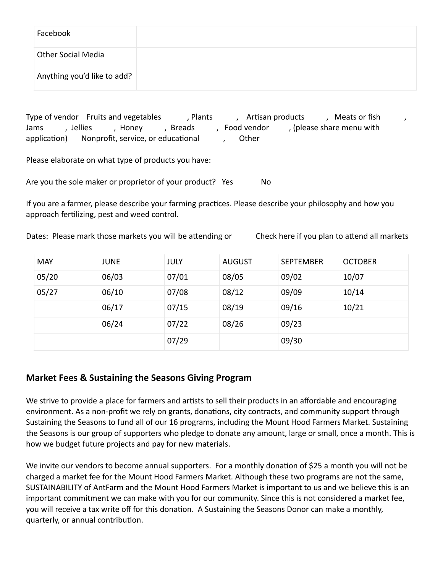| Facebook                    |  |
|-----------------------------|--|
| <b>Other Social Media</b>   |  |
| Anything you'd like to add? |  |

Type of vendor Fruits and vegetables and the sensule of vendor fish  $\alpha$  and  $\alpha$  is a period of the sensule of fish  $\alpha$ Jams , Jellies , Honey , Breads , Food vendor , (please share menu with application) Nonprofit, service, or educational frace, Other

Please elaborate on what type of products you have:

Are you the sole maker or proprietor of your product? Yes No

If you are a farmer, please describe your farming practices. Please describe your philosophy and how you approach fertilizing, pest and weed control.

Dates: Please mark those markets you will be attending or Check here if you plan to attend all markets

| <b>MAY</b> | <b>JUNE</b> | JULY  | <b>AUGUST</b> | <b>SEPTEMBER</b> | <b>OCTOBER</b> |
|------------|-------------|-------|---------------|------------------|----------------|
| 05/20      | 06/03       | 07/01 | 08/05         | 09/02            | 10/07          |
| 05/27      | 06/10       | 07/08 | 08/12         | 09/09            | 10/14          |
|            | 06/17       | 07/15 | 08/19         | 09/16            | 10/21          |
|            | 06/24       | 07/22 | 08/26         | 09/23            |                |
|            |             | 07/29 |               | 09/30            |                |

#### **Market Fees & Sustaining the Seasons Giving Program**

We strive to provide a place for farmers and artists to sell their products in an affordable and encouraging environment. As a non-profit we rely on grants, donations, city contracts, and community support through Sustaining the Seasons to fund all of our 16 programs, including the Mount Hood Farmers Market. Sustaining the Seasons is our group of supporters who pledge to donate any amount, large or small, once a month. This is how we budget future projects and pay for new materials.

We invite our vendors to become annual supporters. For a monthly donation of \$25 a month you will not be charged a market fee for the Mount Hood Farmers Market. Although these two programs are not the same, SUSTAINABILITY of AntFarm and the Mount Hood Farmers Market is important to us and we believe this is an important commitment we can make with you for our community. Since this is not considered a market fee, you will receive a tax write off for this donation. A Sustaining the Seasons Donor can make a monthly, quarterly, or annual contribution.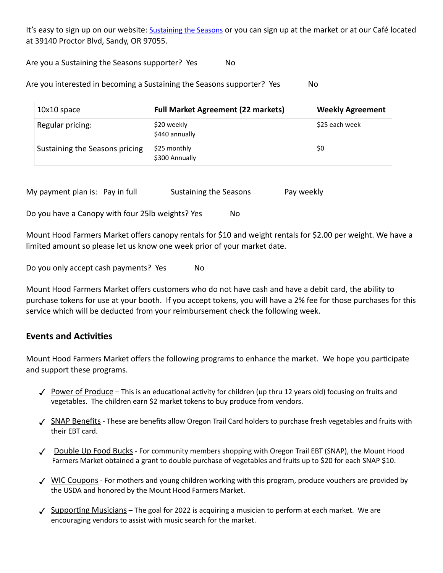It's easy to sign up on our website: [Sustaining the Seasons](https://antfarmyouthservices.com/time-keeper/) or you can sign up at the market or at our Café located at 39140 Proctor Blvd, Sandy, OR 97055.

Are you a Sustaining the Seasons supporter? Yes No

Are you interested in becoming a Sustaining the Seasons supporter? Yes Mo

| 10x10 space                    | <b>Full Market Agreement (22 markets)</b> | <b>Weekly Agreement</b> |
|--------------------------------|-------------------------------------------|-------------------------|
| Regular pricing:               | \$20 weekly<br>\$440 annually             | \$25 each week          |
| Sustaining the Seasons pricing | \$25 monthly<br>\$300 Annually            | \$0                     |

My payment plan is: Pay in full Sustaining the Seasons Pay weekly

Do you have a Canopy with four 25lb weights? Yes No

Mount Hood Farmers Market offers canopy rentals for \$10 and weight rentals for \$2.00 per weight. We have a limited amount so please let us know one week prior of your market date.

Do you only accept cash payments? Yes No

Mount Hood Farmers Market offers customers who do not have cash and have a debit card, the ability to purchase tokens for use at your booth. If you accept tokens, you will have a 2% fee for those purchases for this service which will be deducted from your reimbursement check the following week.

#### **Events and Activities**

Mount Hood Farmers Market offers the following programs to enhance the market. We hope you participate and support these programs.

- $\checkmark$  Power of Produce This is an educational activity for children (up thru 12 years old) focusing on fruits and vegetables. The children earn \$2 market tokens to buy produce from vendors.
- √ SNAP Benefits These are benefits allow Oregon Trail Card holders to purchase fresh vegetables and fruits with their EBT card.
- $\checkmark$  Double Up Food Bucks For community members shopping with Oregon Trail EBT (SNAP), the Mount Hood Farmers Market obtained a grant to double purchase of vegetables and fruits up to \$20 for each SNAP \$10.
- $\sqrt{}$  WIC Coupons For mothers and young children working with this program, produce vouchers are provided by the USDA and honored by the Mount Hood Farmers Market.
- $\angle$  Supporting Musicians The goal for 2022 is acquiring a musician to perform at each market. We are encouraging vendors to assist with music search for the market.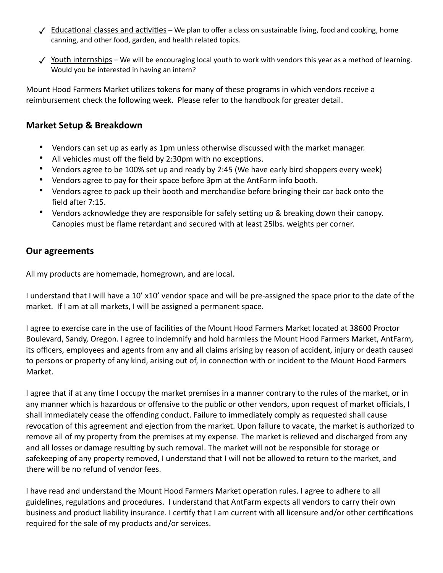- $\checkmark$  Educational classes and activities We plan to offer a class on sustainable living, food and cooking, home canning, and other food, garden, and health related topics.
- Y Youth internships We will be encouraging local youth to work with vendors this year as a method of learning. Would you be interested in having an intern?

Mount Hood Farmers Market utilizes tokens for many of these programs in which vendors receive a reimbursement check the following week. Please refer to the handbook for greater detail.

## **Market Setup & Breakdown**

- Vendors can set up as early as 1pm unless otherwise discussed with the market manager.
- All vehicles must off the field by 2:30pm with no exceptions.
- Vendors agree to be 100% set up and ready by 2:45 (We have early bird shoppers every week)
- Vendors agree to pay for their space before 3pm at the AntFarm info booth.
- Vendors agree to pack up their booth and merchandise before bringing their car back onto the field after 7:15.
- Vendors acknowledge they are responsible for safely setting up & breaking down their canopy. Canopies must be flame retardant and secured with at least 25lbs. weights per corner.

## **Our agreements**

All my products are homemade, homegrown, and are local.

I understand that I will have a 10' x10' vendor space and will be pre-assigned the space prior to the date of the market. If I am at all markets, I will be assigned a permanent space.

I agree to exercise care in the use of facilities of the Mount Hood Farmers Market located at 38600 Proctor Boulevard, Sandy, Oregon. I agree to indemnify and hold harmless the Mount Hood Farmers Market, AntFarm, its officers, employees and agents from any and all claims arising by reason of accident, injury or death caused to persons or property of any kind, arising out of, in connection with or incident to the Mount Hood Farmers Market.

I agree that if at any time I occupy the market premises in a manner contrary to the rules of the market, or in any manner which is hazardous or offensive to the public or other vendors, upon request of market officials, I shall immediately cease the offending conduct. Failure to immediately comply as requested shall cause revocation of this agreement and ejection from the market. Upon failure to vacate, the market is authorized to remove all of my property from the premises at my expense. The market is relieved and discharged from any and all losses or damage resulting by such removal. The market will not be responsible for storage or safekeeping of any property removed, I understand that I will not be allowed to return to the market, and there will be no refund of vendor fees.

I have read and understand the Mount Hood Farmers Market operation rules. I agree to adhere to all guidelines, regulations and procedures. I understand that AntFarm expects all vendors to carry their own business and product liability insurance. I certify that I am current with all licensure and/or other certifications required for the sale of my products and/or services.